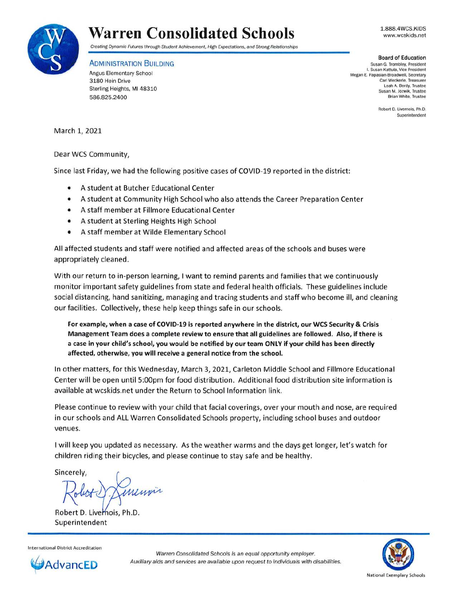

## **Warren Consolidated Schools 1.888.4WCS.KIDS**

Creating Dynamic Futures through Student Achievement, High Expectations, and Strong Relationships

**ADMINISTRATION BUILDING** 

Angus Elementary School 3180 Hein Drive Sterling Heights, Ml 48310 586.825.2400

**Board of Education**  Susan G. Trombley, President I. Susan Kattula, Vice President Megan E. Papasian-Broadwell, Secretary Carl Weckerle, Treasurer Leah A. Berdy, Trustee Susan M. Jozwik, Trustee Brian White, Trustee

> Robert D. Livernois, Ph.D. Superintendent

www.wcskids.net

March 1, 2021

Dear WCS Community,

Since last Friday, we had the following positive cases of COVID-19 reported in the district:

- A student at Butcher Educational Center
- A student at Community High School who also attends the Career Preparation Center
- A staff member at Fillmore Educational Center
- A student at Sterling Heights High School
- A staff member at Wilde Elementary School

All affected students and staff were notified and affected areas of the schools and buses were appropriately cleaned.

With our return to in-person learning, I want to remind parents and families that we continuously monitor important safety guidelines from state and federal health officials. These guidelines include social distancing, hand sanitizing, managing and tracing students and staff who become ill, and cleaning our facilities. Collectively, these help keep things safe in our schools.

**For example, when a case of COVID-19 is reported anywhere in the district, our WCS Security** & **Crisis Management Team does a complete review to ensure that all guidelines are followed. Also, if there is a case in your child's school, you would be notified by our team ONLY if your child has been directly affected, otherwise, you will receive a general notice from the school.** 

In other matters, for this Wednesday, March 3, 2021, Carleton Middle School and Fillmore Educational Center will be open until 5:00pm for food distribution. Additional food distribution site information is available at wcskids.net under the Return to School Information link.

Please continue to review with your child that facial coverings, over your mouth and nose, are required in our schools and ALL Warren Consolidated Schools property, including school buses and outdoor venues.

I will keep you updated as necessary. As the weather warms and the days get longer, let's watch for children riding their bicycles, and please continue to stay safe and be healthy.

Sincerely,

Robert D. Live Superintendent



Warren Consolidated Schools is an equal opportunity employer. Auxiliary aids and services are available upon request to individuals with disabilities.